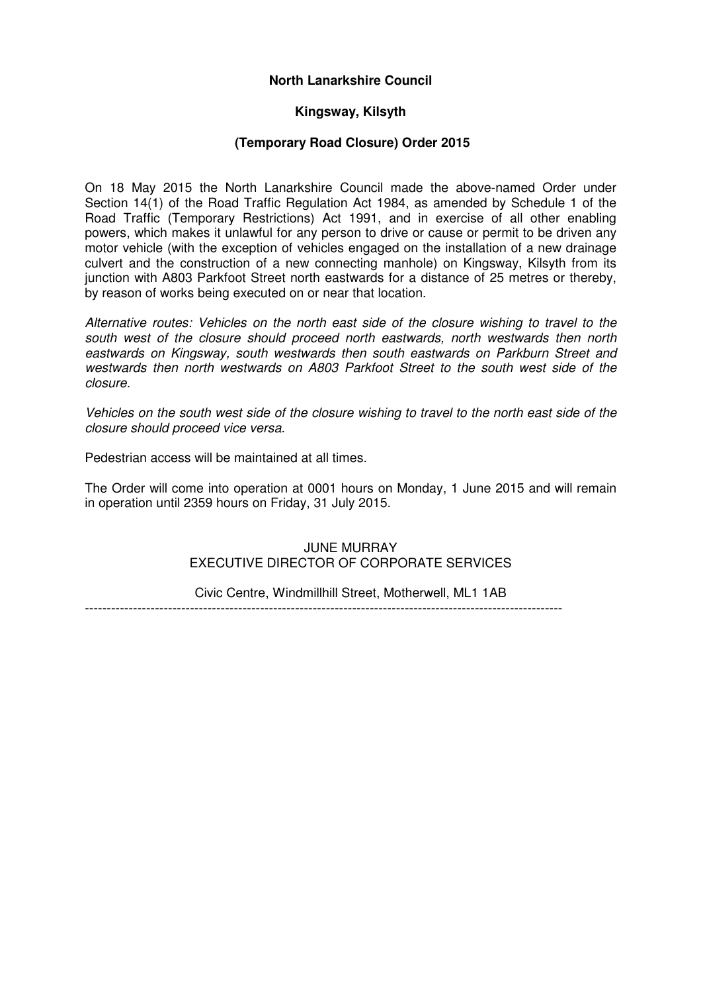# **North Lanarkshire Council**

### **Kingsway, Kilsyth**

#### **(Temporary Road Closure) Order 2015**

On 18 May 2015 the North Lanarkshire Council made the above-named Order under Section 14(1) of the Road Traffic Regulation Act 1984, as amended by Schedule 1 of the Road Traffic (Temporary Restrictions) Act 1991, and in exercise of all other enabling powers, which makes it unlawful for any person to drive or cause or permit to be driven any motor vehicle (with the exception of vehicles engaged on the installation of a new drainage culvert and the construction of a new connecting manhole) on Kingsway, Kilsyth from its junction with A803 Parkfoot Street north eastwards for a distance of 25 metres or thereby, by reason of works being executed on or near that location.

Alternative routes: Vehicles on the north east side of the closure wishing to travel to the south west of the closure should proceed north eastwards, north westwards then north eastwards on Kingsway, south westwards then south eastwards on Parkburn Street and westwards then north westwards on A803 Parkfoot Street to the south west side of the closure.

Vehicles on the south west side of the closure wishing to travel to the north east side of the closure should proceed vice versa.

Pedestrian access will be maintained at all times.

The Order will come into operation at 0001 hours on Monday, 1 June 2015 and will remain in operation until 2359 hours on Friday, 31 July 2015.

#### JUNE MURRAY EXECUTIVE DIRECTOR OF CORPORATE SERVICES

Civic Centre, Windmillhill Street, Motherwell, ML1 1AB

-------------------------------------------------------------------------------------------------------------